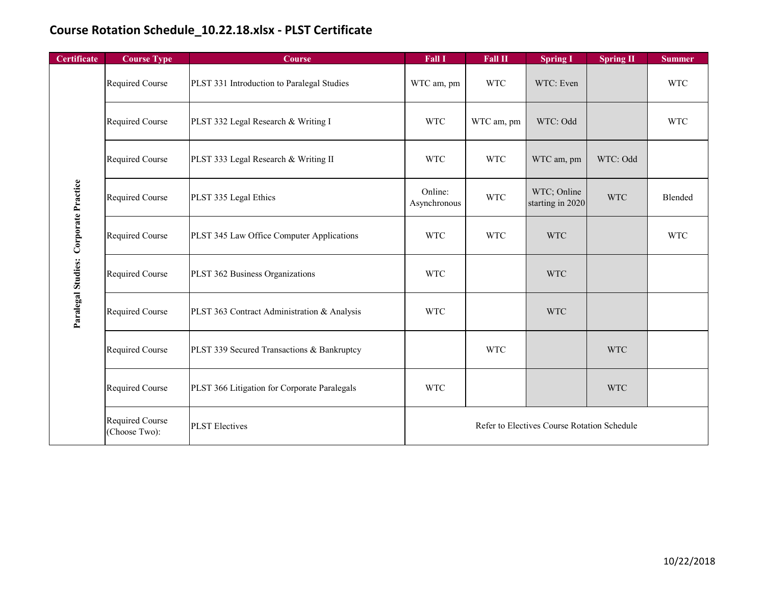| <b>Certificate</b>                    | <b>Course Type</b>               | <b>Course</b>                                | <b>Fall I</b>                               | Fall II    | <b>Spring I</b>                 | <b>Spring II</b> | <b>Summer</b> |
|---------------------------------------|----------------------------------|----------------------------------------------|---------------------------------------------|------------|---------------------------------|------------------|---------------|
| Paralegal Studies: Corporate Practice | Required Course                  | PLST 331 Introduction to Paralegal Studies   | WTC am, pm                                  | <b>WTC</b> | WTC: Even                       |                  | <b>WTC</b>    |
|                                       | Required Course                  | PLST 332 Legal Research & Writing I          | <b>WTC</b>                                  | WTC am, pm | WTC: Odd                        |                  | <b>WTC</b>    |
|                                       | Required Course                  | PLST 333 Legal Research & Writing II         | <b>WTC</b>                                  | <b>WTC</b> | WTC am, pm                      | WTC: Odd         |               |
|                                       | Required Course                  | PLST 335 Legal Ethics                        | Online:<br>Asynchronous                     | <b>WTC</b> | WTC; Online<br>starting in 2020 | <b>WTC</b>       | Blended       |
|                                       | Required Course                  | PLST 345 Law Office Computer Applications    | <b>WTC</b>                                  | <b>WTC</b> | <b>WTC</b>                      |                  | <b>WTC</b>    |
|                                       | Required Course                  | PLST 362 Business Organizations              | <b>WTC</b>                                  |            | <b>WTC</b>                      |                  |               |
|                                       | Required Course                  | PLST 363 Contract Administration & Analysis  | <b>WTC</b>                                  |            | <b>WTC</b>                      |                  |               |
|                                       | Required Course                  | PLST 339 Secured Transactions & Bankruptcy   |                                             | <b>WTC</b> |                                 | <b>WTC</b>       |               |
|                                       | Required Course                  | PLST 366 Litigation for Corporate Paralegals | <b>WTC</b>                                  |            |                                 | <b>WTC</b>       |               |
|                                       | Required Course<br>(Choose Two): | <b>PLST</b> Electives                        | Refer to Electives Course Rotation Schedule |            |                                 |                  |               |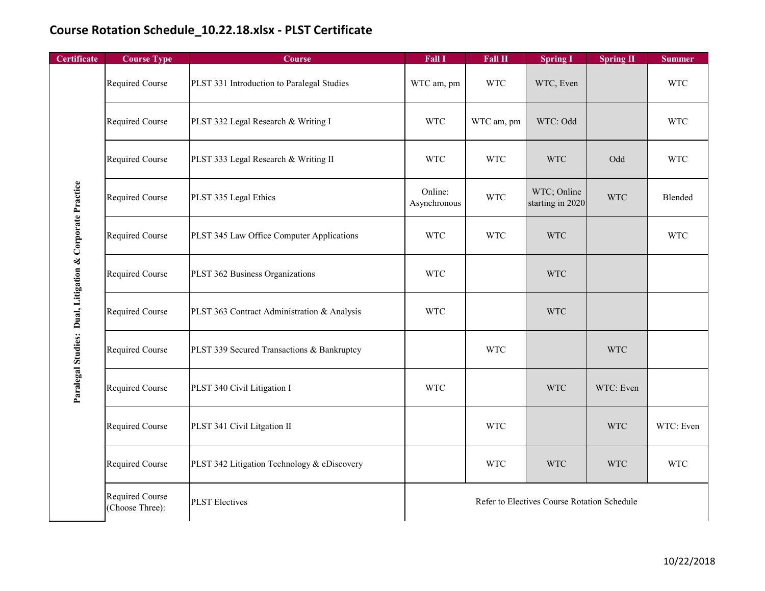| Certificate                                              | <b>Course Type</b>                 | Course                                      | <b>Fall I</b>                               | <b>Fall II</b> | <b>Spring I</b>                 | <b>Spring II</b> | <b>Summer</b> |
|----------------------------------------------------------|------------------------------------|---------------------------------------------|---------------------------------------------|----------------|---------------------------------|------------------|---------------|
| Paralegal Studies: Dual, Litigation & Corporate Practice | Required Course                    | PLST 331 Introduction to Paralegal Studies  | WTC am, pm                                  | <b>WTC</b>     | WTC, Even                       |                  | <b>WTC</b>    |
|                                                          | Required Course                    | PLST 332 Legal Research & Writing I         | <b>WTC</b>                                  | WTC am, pm     | WTC: Odd                        |                  | <b>WTC</b>    |
|                                                          | Required Course                    | PLST 333 Legal Research & Writing II        | <b>WTC</b>                                  | <b>WTC</b>     | <b>WTC</b>                      | Odd              | <b>WTC</b>    |
|                                                          | Required Course                    | PLST 335 Legal Ethics                       | Online:<br>Asynchronous                     | <b>WTC</b>     | WTC; Online<br>starting in 2020 | <b>WTC</b>       | Blended       |
|                                                          | Required Course                    | PLST 345 Law Office Computer Applications   | <b>WTC</b>                                  | <b>WTC</b>     | <b>WTC</b>                      |                  | <b>WTC</b>    |
|                                                          | Required Course                    | PLST 362 Business Organizations             | <b>WTC</b>                                  |                | <b>WTC</b>                      |                  |               |
|                                                          | Required Course                    | PLST 363 Contract Administration & Analysis | <b>WTC</b>                                  |                | <b>WTC</b>                      |                  |               |
|                                                          | Required Course                    | PLST 339 Secured Transactions & Bankruptcy  |                                             | <b>WTC</b>     |                                 | <b>WTC</b>       |               |
|                                                          | Required Course                    | PLST 340 Civil Litigation I                 | <b>WTC</b>                                  |                | <b>WTC</b>                      | WTC: Even        |               |
|                                                          | Required Course                    | PLST 341 Civil Litgation II                 |                                             | <b>WTC</b>     |                                 | <b>WTC</b>       | WTC: Even     |
|                                                          | Required Course                    | PLST 342 Litigation Technology & eDiscovery |                                             | <b>WTC</b>     | <b>WTC</b>                      | <b>WTC</b>       | <b>WTC</b>    |
|                                                          | Required Course<br>(Choose Three): | <b>PLST</b> Electives                       | Refer to Electives Course Rotation Schedule |                |                                 |                  |               |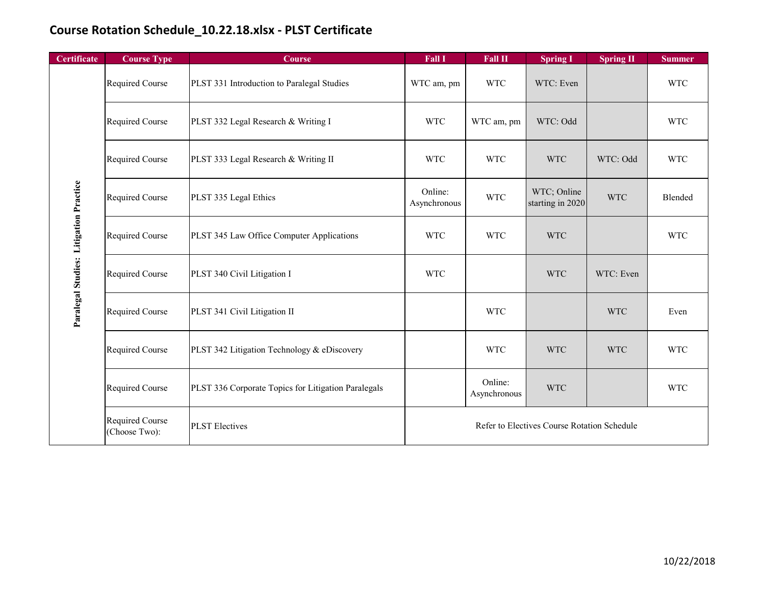| <b>Certificate</b>                     | <b>Course Type</b>               | <b>Course</b>                                       | <b>Fall I</b>                               | Fall II                 | <b>Spring I</b>                 | <b>Spring II</b> | <b>Summer</b> |
|----------------------------------------|----------------------------------|-----------------------------------------------------|---------------------------------------------|-------------------------|---------------------------------|------------------|---------------|
| Paralegal Studies: Litigation Practice | Required Course                  | PLST 331 Introduction to Paralegal Studies          | WTC am, pm                                  | <b>WTC</b>              | WTC: Even                       |                  | <b>WTC</b>    |
|                                        | Required Course                  | PLST 332 Legal Research & Writing I                 | <b>WTC</b>                                  | WTC am, pm              | WTC: Odd                        |                  | <b>WTC</b>    |
|                                        | Required Course                  | PLST 333 Legal Research & Writing II                | <b>WTC</b>                                  | <b>WTC</b>              | <b>WTC</b>                      | WTC: Odd         | <b>WTC</b>    |
|                                        | Required Course                  | PLST 335 Legal Ethics                               | Online:<br>Asynchronous                     | <b>WTC</b>              | WTC; Online<br>starting in 2020 | <b>WTC</b>       | Blended       |
|                                        | Required Course                  | PLST 345 Law Office Computer Applications           | <b>WTC</b>                                  | <b>WTC</b>              | <b>WTC</b>                      |                  | <b>WTC</b>    |
|                                        | Required Course                  | PLST 340 Civil Litigation I                         | <b>WTC</b>                                  |                         | <b>WTC</b>                      | WTC: Even        |               |
|                                        | Required Course                  | PLST 341 Civil Litigation II                        |                                             | <b>WTC</b>              |                                 | <b>WTC</b>       | Even          |
|                                        | Required Course                  | PLST 342 Litigation Technology & eDiscovery         |                                             | <b>WTC</b>              | <b>WTC</b>                      | <b>WTC</b>       | <b>WTC</b>    |
|                                        | Required Course                  | PLST 336 Corporate Topics for Litigation Paralegals |                                             | Online:<br>Asynchronous | <b>WTC</b>                      |                  | <b>WTC</b>    |
|                                        | Required Course<br>(Choose Two): | <b>PLST</b> Electives                               | Refer to Electives Course Rotation Schedule |                         |                                 |                  |               |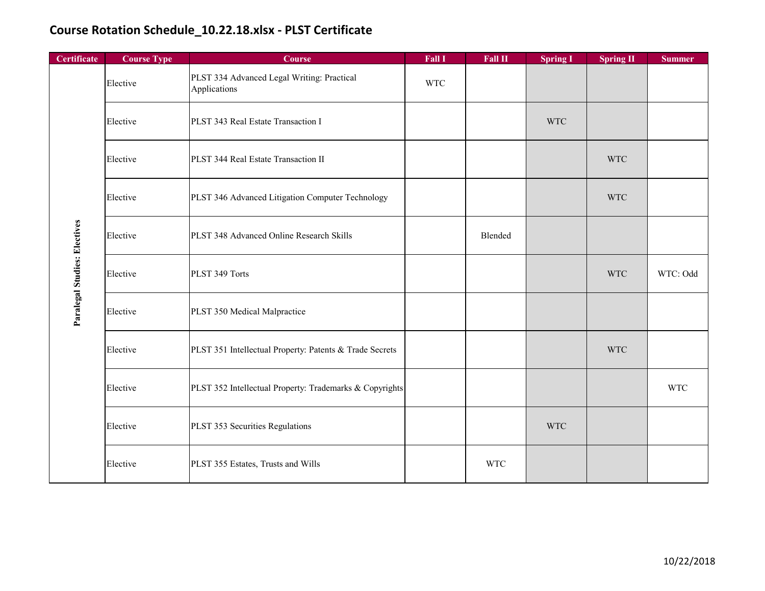| Certificate                  | <b>Course Type</b> | <b>Course</b>                                              | Fall I     | Fall II    | <b>Spring I</b> | <b>Spring II</b> | <b>Summer</b> |
|------------------------------|--------------------|------------------------------------------------------------|------------|------------|-----------------|------------------|---------------|
| Paralegal Studies: Electives | Elective           | PLST 334 Advanced Legal Writing: Practical<br>Applications | <b>WTC</b> |            |                 |                  |               |
|                              | Elective           | PLST 343 Real Estate Transaction I                         |            |            | <b>WTC</b>      |                  |               |
|                              | Elective           | PLST 344 Real Estate Transaction II                        |            |            |                 | <b>WTC</b>       |               |
|                              | Elective           | PLST 346 Advanced Litigation Computer Technology           |            |            |                 | <b>WTC</b>       |               |
|                              | Elective           | PLST 348 Advanced Online Research Skills                   |            | Blended    |                 |                  |               |
|                              | Elective           | PLST 349 Torts                                             |            |            |                 | <b>WTC</b>       | WTC: Odd      |
|                              | Elective           | PLST 350 Medical Malpractice                               |            |            |                 |                  |               |
|                              | Elective           | PLST 351 Intellectual Property: Patents & Trade Secrets    |            |            |                 | <b>WTC</b>       |               |
|                              | Elective           | PLST 352 Intellectual Property: Trademarks & Copyrights    |            |            |                 |                  | <b>WTC</b>    |
|                              | Elective           | PLST 353 Securities Regulations                            |            |            | <b>WTC</b>      |                  |               |
|                              | Elective           | PLST 355 Estates, Trusts and Wills                         |            | <b>WTC</b> |                 |                  |               |